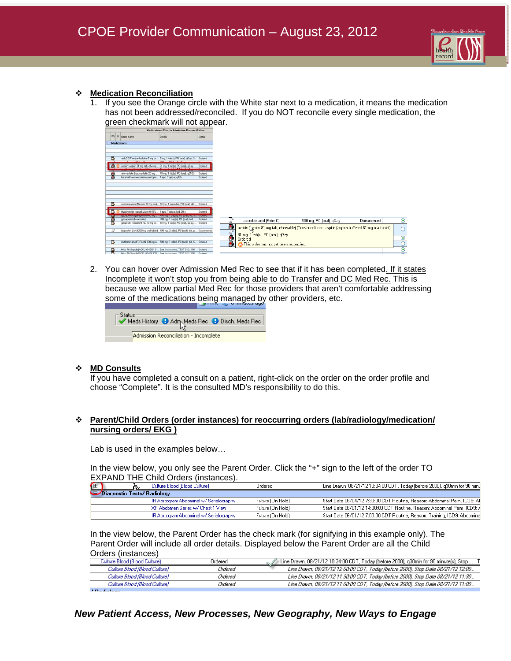

### **Medication Reconciliation**

1. If you see the Orange circle with the White star next to a medication, it means the medication has not been addressed/reconciled. If you do NOT reconcile every single medication, the green checkmark will not appear.



2. You can hover over Admission Med Rec to see that if it has been completed. If it states Incomplete it won't stop you from being able to do Transfer and DC Med Rec. This is because we allow partial Med Rec for those providers that aren't comfortable addressing some of the medications being managed by other providers, etc.

| – Status: | Meds History 1 Adm Meds Rec 1 Disch. Meds Rec |  |  |  |  |
|-----------|-----------------------------------------------|--|--|--|--|
|           | Admission Reconciliation - Incomplete         |  |  |  |  |

### **MD Consults**

If you have completed a consult on a patient, right-click on the order on the order profile and choose "Complete". It is the consulted MD's responsibility to do this.

## **Parent/Child Orders (order instances) for reoccurring orders (lab/radiology/medication/ nursing orders/ EKG )**

Lab is used in the examples below…

In the view below, you only see the Parent Order. Click the "+" sign to the left of the order TO EXPAND THE Child Orders (instances).

| (田                          |  |  | Culture Blood (Blood Culture)           | Ordered          | Line Drawn, 08/21/12 10:34:00 CDT, Today (before 2000), g30min for 90 min(   |  |  |
|-----------------------------|--|--|-----------------------------------------|------------------|------------------------------------------------------------------------------|--|--|
| Diagnostic Tests/ Radiology |  |  |                                         |                  |                                                                              |  |  |
|                             |  |  | IR Aortogram Abdominal w/ Serialography | Future (On Hold) | - Start Date 06/04/12 7:30:00 CDT Routine, Reason: Abdominal Paim, ICD9: All |  |  |
|                             |  |  | XR Abdomen Series w/ Chest 1 View       | Future (On Hold) | Start Date 06/01/12 14:30:00 CDT Routine, Reason: Abdominal Paim, ICD9: 7    |  |  |
|                             |  |  | IR Aortogram Abdominal w/ Serialography | Future (On Hold) | Start Date 06/01/12 7:00:00 CDT Routine, Reason: Training, ICD9: Abdomina    |  |  |

In the view below, the Parent Order has the check mark (for signifying in this example only). The Parent Order will include all order details. Displayed below the Parent Order are all the Child Orders (instances)

| oracio molancco <i>r</i>      |         |                                                                                        |
|-------------------------------|---------|----------------------------------------------------------------------------------------|
| Culture Blood (Blood Culture) | Ordered | [Line Drawn, 08/21/12 10:34:00 CDT, Today (before 2000), q30min for 90 minute(s), Stop |
| Culture Blood (Blood Culture) | Ordered | Line Drawn, 08/21/12 12:00:00 CDT, Today (before 2000), Stop Date 08/21/12 12:00       |
| Culture Blood (Blood Culture) | Ordered | Line Drawn, 08/21/12 11:30:00 CDT, Today (before 2000), Stop Date 08/21/12 11:30       |
| Culture Blood (Blood Culture) | Ordered | Line Drawn, 08/21/12 11:00:00 CDT, Today (before 2000), Stop Date 08/21/12 11:00       |
| .                             |         |                                                                                        |

## *New Patient Access, New Processes, New Geography, New Ways to Engage*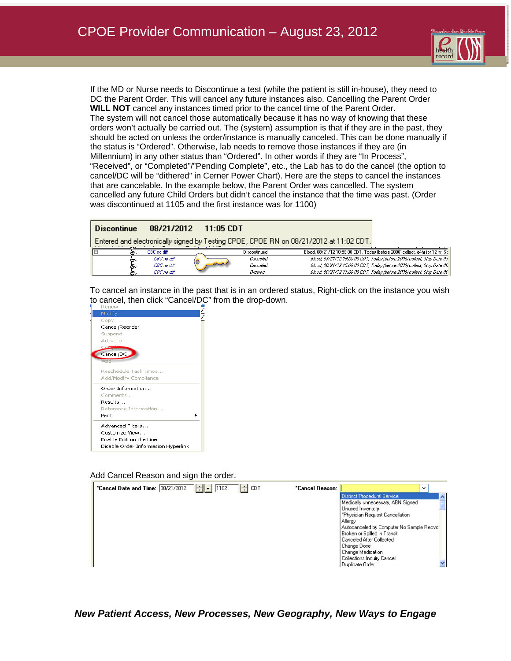

If the MD or Nurse needs to Discontinue a test (while the patient is still in-house), they need to DC the Parent Order. This will cancel any future instances also. Cancelling the Parent Order **WILL NOT** cancel any instances timed prior to the cancel time of the Parent Order. The system will not cancel those automatically because it has no way of knowing that these orders won't actually be carried out. The (system) assumption is that if they are in the past, they should be acted on unless the order/instance is manually canceled. This can be done manually if the status is "Ordered". Otherwise, lab needs to remove those instances if they are (in Millennium) in any other status than "Ordered". In other words if they are "In Process", "Received", or "Completed"/"Pending Complete", etc., the Lab has to do the cancel (the option to cancel/DC will be "dithered" in Cerner Power Chart). Here are the steps to cancel the instances that are cancelable. In the example below, the Parent Order was cancelled. The system cancelled any future Child Orders but didn't cancel the instance that the time was past. (Order was discontinued at 1105 and the first instance was for 1100)

| <b>Discontinue</b>                                                                     |             |  | $08/21/2012 - 11:05$ CDT |              |                                                                               |  |
|----------------------------------------------------------------------------------------|-------------|--|--------------------------|--------------|-------------------------------------------------------------------------------|--|
| Entered and electronically signed by Testing CPOE, CPOE RN on 08/21/2012 at 11:02 CDT. |             |  |                          |              |                                                                               |  |
|                                                                                        | CBC no diff |  |                          | Discontinued | Blood, 08/21/12 10:56:00 CDT, Today (before 2000) collect, g4hr for 12 hr, St |  |
|                                                                                        | CBC no diff |  |                          | Canceled     | Blood, 08/21/12 19:00:00 CDT, Today (before 2000) collect, Stop Date 08       |  |
|                                                                                        | CBC no diff |  |                          | Canceled     | Blood, 08/21/12 15:00:00 CDT, Today (before 2000) collect, Stop Date 08       |  |
|                                                                                        | CBC no diff |  |                          | Ordered      | Blood, 08/21/12 11:00:00 CDT, Today (before 2000) collect, Stop Date 06       |  |

To cancel an instance in the past that is in an ordered status, Right-click on the instance you wish to cancel, then click "Cancel/DC" from the drop-down.



Add Cancel Reason and sign the order.



*New Patient Access, New Processes, New Geography, New Ways to Engage*